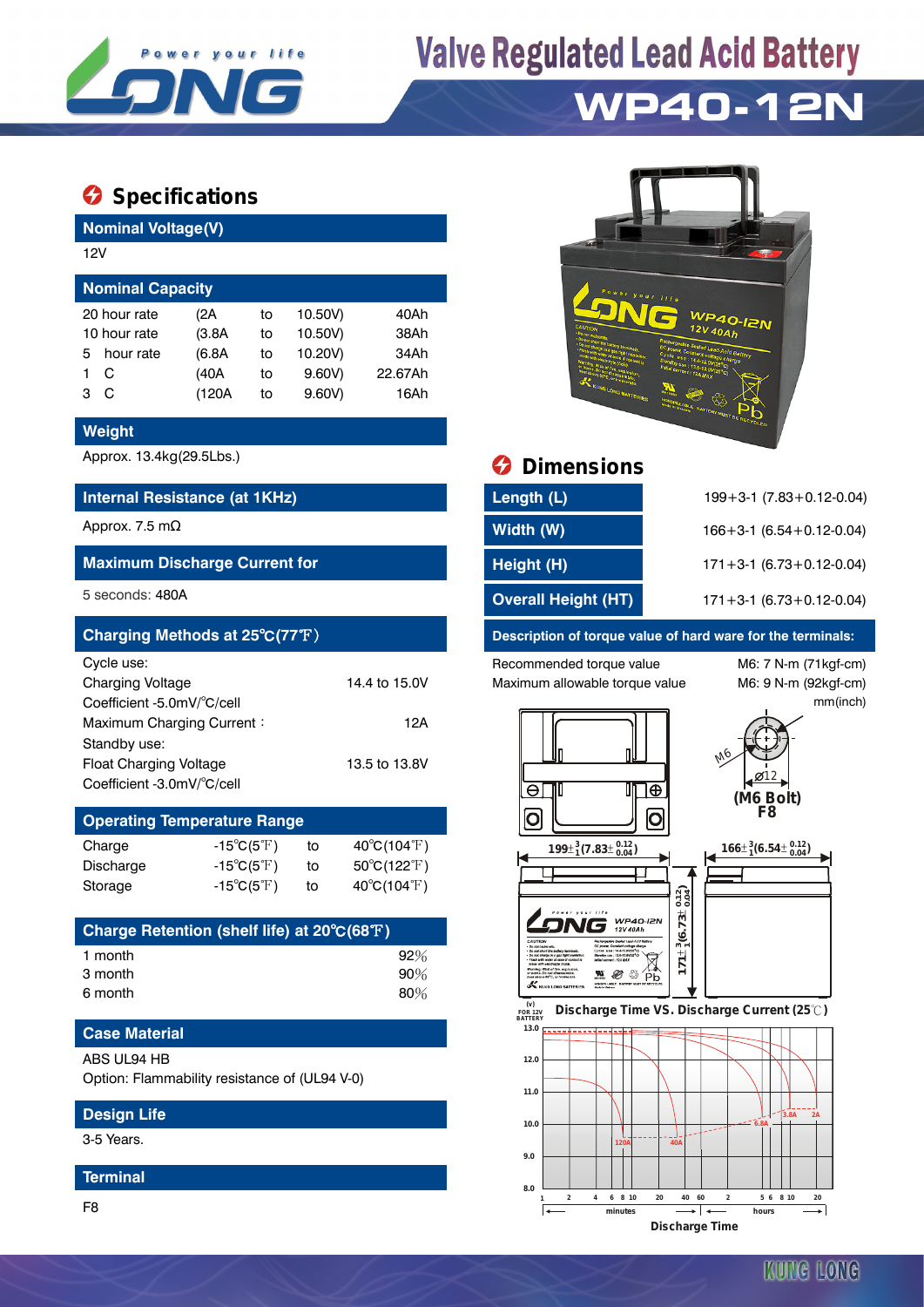

# **Valve Regulated Lead Acid Battery**

## **WP40-12N**

### $\bullet$  Specifications

**Nominal Voltage(V)**

| 12V                     |           |        |    |         |         |  |  |  |  |
|-------------------------|-----------|--------|----|---------|---------|--|--|--|--|
| <b>Nominal Capacity</b> |           |        |    |         |         |  |  |  |  |
| 20 hour rate            |           | (2A    | to | 10.50V) | 40Ah    |  |  |  |  |
| 10 hour rate            |           | (3.8A) | to | 10.50V) | 38Ah    |  |  |  |  |
| 5.                      | hour rate | (6.8A) | to | 10.20V) | 34Ah    |  |  |  |  |
|                         | С         | (40A   | to | 9.60V   | 22.67Ah |  |  |  |  |
| з                       | C         | (120A  | to | 9.60V   | 16Ah    |  |  |  |  |
|                         |           |        |    |         |         |  |  |  |  |

#### **Weight**

#### **Internal Resistance (at 1KHz)**

#### **Maximum Discharge Current for**

| Charging Methods at 25°C(77°F) |               |  |  |  |  |
|--------------------------------|---------------|--|--|--|--|
| Cycle use:                     |               |  |  |  |  |
| <b>Charging Voltage</b>        | 14.4 to 15.0V |  |  |  |  |
| Coefficient -5.0mV/°C/cell     |               |  |  |  |  |
| Maximum Charging Current:      | 12A           |  |  |  |  |
| Standby use:                   |               |  |  |  |  |
| <b>Float Charging Voltage</b>  | 13.5 to 13.8V |  |  |  |  |
| Coefficient -3.0mV/°C/cell     |               |  |  |  |  |

#### **Operating Temperature Range**  $C$ harge  $15^\circ C / 5^\circ F$ ) to  $40^\circ C / 104^\circ F$

| Vilaige   | $-1000017$                 | ιυ | $40 \cup 104 \cup 1$             |
|-----------|----------------------------|----|----------------------------------|
| Discharge | $-15^{\circ}C(5^{\circ}F)$ | to | $50^{\circ}$ C(122 $^{\circ}$ F) |
| Storage   | $-15^{\circ}C(5^{\circ}F)$ | to | $40^{\circ}$ C(104 $^{\circ}$ F) |

| Charge Retention (shelf life) at 20°C(68°F) |        |
|---------------------------------------------|--------|
| 1 month                                     | $92\%$ |
| 3 month                                     | 90%    |
| 6 month                                     | 80%    |

### **Case Material**

#### ABS UL94 HB

Option: Flammability resistance of (UL94 V-0)

#### **Design Life**

3-5 Years.

#### **Terminal**

F8



### Approx. 13.4kg(29.5Lbs.) **Dimensions**

| Internal Resistance (at 1KHz)        | Length (L)                 | $199 + 3 - 1$ (7.83 + 0.12 - 0.04) |
|--------------------------------------|----------------------------|------------------------------------|
| Approx. 7.5 mΩ                       | Width (W)                  | $166 + 3 - 1$ (6.54 + 0.12 - 0.04) |
| <b>Maximum Discharge Current for</b> | Height (H)                 | $171 + 3 - 1$ (6.73 + 0.12 - 0.04) |
| 5 seconds: 480A                      | <b>Overall Height (HT)</b> | $171 + 3 - 1$ (6.73 + 0.12 - 0.04) |

#### **Description of torque value of hard ware for the terminals:**

Recommended torque value M6: 7 N-m (71kgf-cm) Maximum allowable torque value M6: 9 N-m (92kgf-cm)

mm(inch)



**Discharge Time**